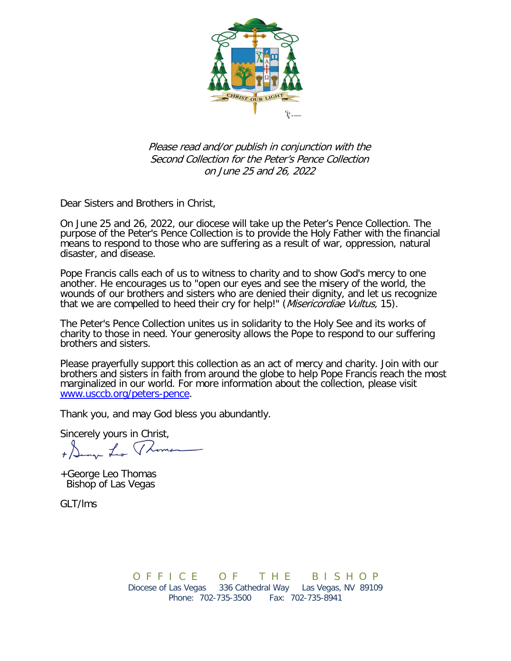

## Please read and/or publish in conjunction with the Second Collection for the Peter's Pence Collection on June 25 and 26, 2022

Dear Sisters and Brothers in Christ,

On June 25 and 26, 2022, our diocese will take up the Peter's Pence Collection. The purpose of the Peter's Pence Collection is to provide the Holy Father with the financial means to respond to those who are suffering as a result of war, oppression, natural disaster, and disease.

Pope Francis calls each of us to witness to charity and to show God's mercy to one another. He encourages us to "open our eyes and see the misery of the world, the wounds of our brothers and sisters who are denied their dignity, and let us recognize that we are compelled to heed their cry for help!" (Misericordiae Vultus, 15).

The Peter's Pence Collection unites us in solidarity to the Holy See and its works of charity to those in need. Your generosity allows the Pope to respond to our suffering brothers and sisters.

Please prayerfully support this collection as an act of mercy and charity. Join with our brothers and sisters in faith from around the globe to help Pope Francis reach the most marginalized in our world. For more information about the collection, please visit [www.usccb.org/peters-pence.](http://www.usccb.org/peters-pence)

Thank you, and may God bless you abundantly.

Sincerely yours in Christ,<br>+ Lamera Live (Lome

+George Leo Thomas Bishop of Las Vegas

GLT/lms

OFFICE OF THE BISHOP Diocese of Las Vegas 336 Cathedral Way Las Vegas, NV 89109 Phone: 702-735-3500 Fax: 702-735-8941